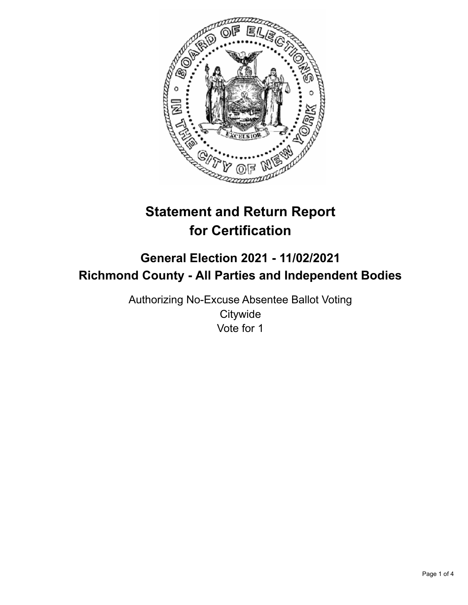

# **Statement and Return Report for Certification**

## **General Election 2021 - 11/02/2021 Richmond County - All Parties and Independent Bodies**

Authorizing No-Excuse Absentee Ballot Voting **Citywide** Vote for 1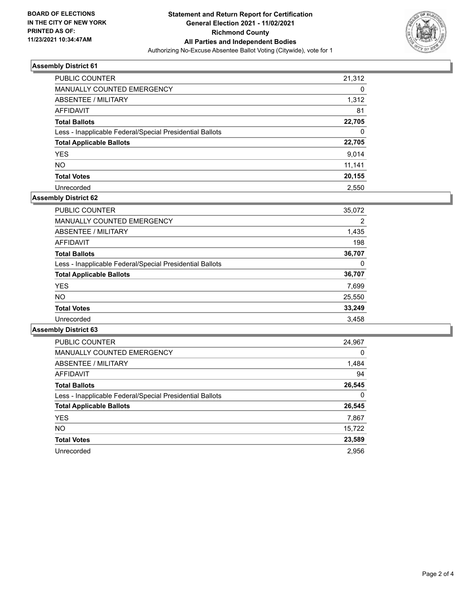

### **Assembly District 61**

| <b>PUBLIC COUNTER</b>                                    | 21,312   |
|----------------------------------------------------------|----------|
| <b>MANUALLY COUNTED EMERGENCY</b>                        | 0        |
| <b>ABSENTEE / MILITARY</b>                               | 1,312    |
| AFFIDAVIT                                                | 81       |
| <b>Total Ballots</b>                                     | 22,705   |
| Less - Inapplicable Federal/Special Presidential Ballots | $\Omega$ |
| <b>Total Applicable Ballots</b>                          | 22,705   |
| <b>YES</b>                                               | 9,014    |
| <b>NO</b>                                                | 11,141   |
| <b>Total Votes</b>                                       | 20,155   |
| Unrecorded                                               | 2.550    |

#### **Assembly District 62**

| 35,072 |
|--------|
| 2      |
| 1,435  |
| 198    |
| 36,707 |
| 0      |
| 36,707 |
| 7,699  |
| 25,550 |
| 33,249 |
| 3.458  |
|        |

#### **Assembly District 63**

| <b>PUBLIC COUNTER</b>                                    | 24,967   |
|----------------------------------------------------------|----------|
| <b>MANUALLY COUNTED EMERGENCY</b>                        | $\Omega$ |
| ABSENTEE / MILITARY                                      | 1,484    |
| <b>AFFIDAVIT</b>                                         | 94       |
| <b>Total Ballots</b>                                     | 26,545   |
| Less - Inapplicable Federal/Special Presidential Ballots | 0        |
| <b>Total Applicable Ballots</b>                          | 26,545   |
| <b>YES</b>                                               | 7,867    |
| NO.                                                      | 15,722   |
| <b>Total Votes</b>                                       | 23,589   |
| Unrecorded                                               | 2.956    |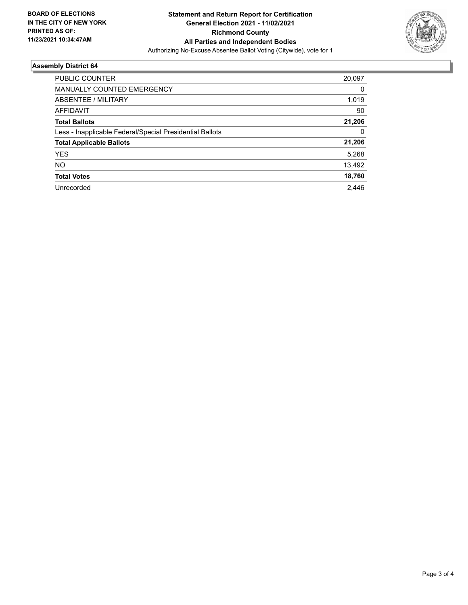

#### **Assembly District 64**

| 20,097 |
|--------|
| 0      |
| 1,019  |
| 90     |
| 21,206 |
| 0      |
| 21,206 |
| 5,268  |
| 13,492 |
| 18,760 |
| 2.446  |
|        |